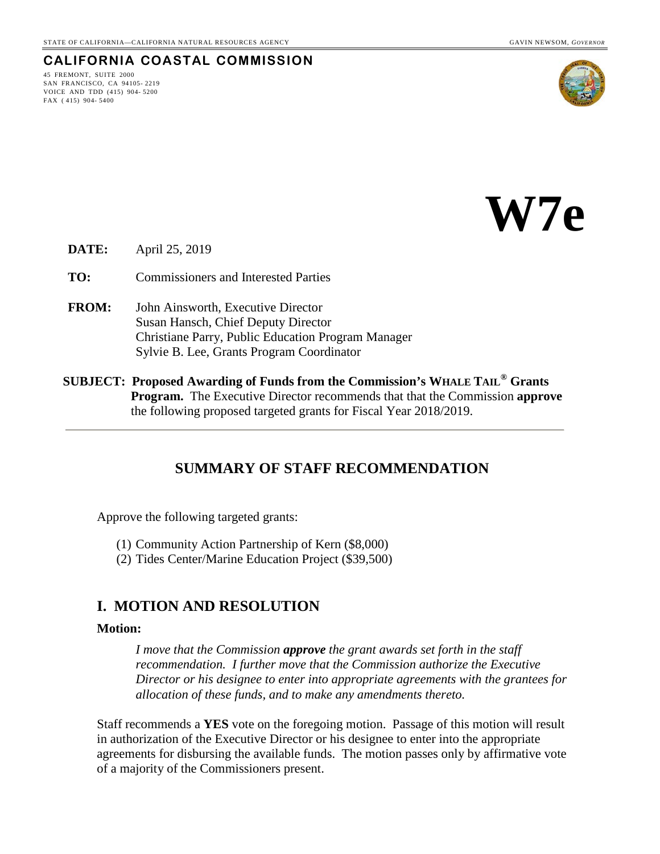### **CALIFORNIA COASTAL COMMISSION**

45 FREMONT, SUITE 2000 SAN FRANCISCO, CA 94105- 2219 VOICE AND TDD (415) 904- 5200 FAX ( 415) 904- 5400





**DATE:** April 25, 2019

**TO:** Commissioners and Interested Parties

- **FROM:** John Ainsworth, Executive Director Susan Hansch, Chief Deputy Director Christiane Parry, Public Education Program Manager Sylvie B. Lee, Grants Program Coordinator
- **SUBJECT: Proposed Awarding of Funds from the Commission's WHALE TAIL® Grants Program.** The Executive Director recommends that that the Commission **approve**  the following proposed targeted grants for Fiscal Year 2018/2019.

### **SUMMARY OF STAFF RECOMMENDATION**

Approve the following targeted grants:

- (1) Community Action Partnership of Kern (\$8,000)
- (2) Tides Center/Marine Education Project (\$39,500)

### **I. MOTION AND RESOLUTION**

#### **Motion:**

*I move that the Commission approve the grant awards set forth in the staff recommendation. I further move that the Commission authorize the Executive Director or his designee to enter into appropriate agreements with the grantees for allocation of these funds, and to make any amendments thereto.* 

Staff recommends a **YES** vote on the foregoing motion. Passage of this motion will result in authorization of the Executive Director or his designee to enter into the appropriate agreements for disbursing the available funds. The motion passes only by affirmative vote of a majority of the Commissioners present.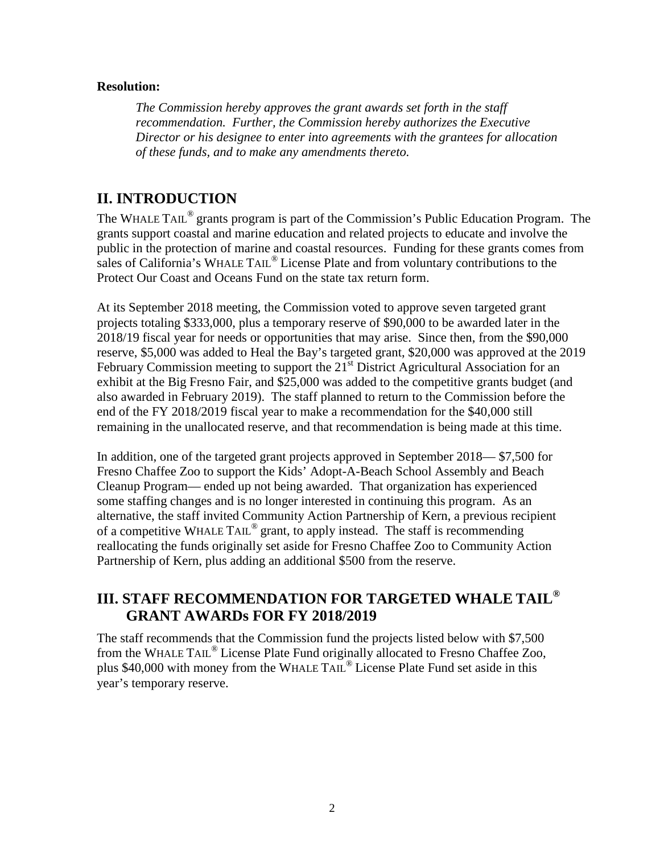### **Resolution:**

*The Commission hereby approves the grant awards set forth in the staff recommendation. Further, the Commission hereby authorizes the Executive Director or his designee to enter into agreements with the grantees for allocation of these funds, and to make any amendments thereto.* 

## **II. INTRODUCTION**

The WHALE TAIL<sup>®</sup> grants program is part of the Commission's Public Education Program. The grants support coastal and marine education and related projects to educate and involve the public in the protection of marine and coastal resources. Funding for these grants comes from sales of California's WHALE TAIL<sup>®</sup> License Plate and from voluntary contributions to the Protect Our Coast and Oceans Fund on the state tax return form.

At its September 2018 meeting, the Commission voted to approve seven targeted grant projects totaling \$333,000, plus a temporary reserve of \$90,000 to be awarded later in the 2018/19 fiscal year for needs or opportunities that may arise. Since then, from the \$90,000 reserve, \$5,000 was added to Heal the Bay's targeted grant, \$20,000 was approved at the 2019 February Commission meeting to support the  $21<sup>st</sup>$  District Agricultural Association for an exhibit at the Big Fresno Fair, and \$25,000 was added to the competitive grants budget (and also awarded in February 2019). The staff planned to return to the Commission before the end of the FY 2018/2019 fiscal year to make a recommendation for the \$40,000 still remaining in the unallocated reserve, and that recommendation is being made at this time.

In addition, one of the targeted grant projects approved in September 2018— \$7,500 for Fresno Chaffee Zoo to support the Kids' Adopt-A-Beach School Assembly and Beach Cleanup Program— ended up not being awarded. That organization has experienced some staffing changes and is no longer interested in continuing this program. As an alternative, the staff invited Community Action Partnership of Kern, a previous recipient of a competitive WHALE TAIL® grant, to apply instead. The staff is recommending reallocating the funds originally set aside for Fresno Chaffee Zoo to Community Action Partnership of Kern, plus adding an additional \$500 from the reserve.

# **III. STAFF RECOMMENDATION FOR TARGETED WHALE TAIL® GRANT AWARDs FOR FY 2018/2019**

The staff recommends that the Commission fund the projects listed below with \$7,500 from the WHALE TAIL<sup>®</sup> License Plate Fund originally allocated to Fresno Chaffee Zoo, plus \$40,000 with money from the WHALE TAIL® License Plate Fund set aside in this year's temporary reserve.